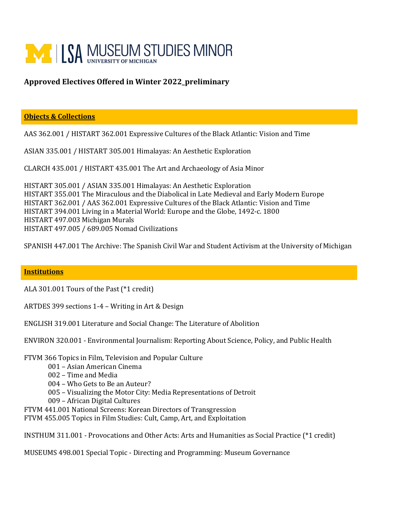

## **Approved Electives Offered in Winter 2022\_preliminary**

## **Objects & Collections**

AAS 362.001 / HISTART 362.001 Expressive Cultures of the Black Atlantic: Vision and Time

ASIAN 335.001 / HISTART 305.001 Himalayas: An Aesthetic Exploration

CLARCH 435.001 / HISTART 435.001 The Art and Archaeology of Asia Minor

HISTART 305.001 / ASIAN 335.001 Himalayas: An Aesthetic Exploration HISTART 355.001 The Miraculous and the Diabolical in Late Medieval and Early Modern Europe HISTART 362.001 / AAS 362.001 Expressive Cultures of the Black Atlantic: Vision and Time HISTART 394.001 Living in a Material World: Europe and the Globe, 1492-c. 1800 HISTART 497.003 Michigan Murals HISTART 497.005 / 689.005 Nomad Civilizations

SPANISH 447.001 The Archive: The Spanish Civil War and Student Activism at the University of Michigan

## **Institutions**

ALA 301.001 Tours of the Past (\*1 credit)

ARTDES 399 sections 1-4 – Writing in Art & Design

ENGLISH 319.001 Literature and Social Change: The Literature of Abolition

ENVIRON 320.001 - Environmental Journalism: Reporting About Science, Policy, and Public Health

FTVM 366 Topics in Film, Television and Popular Culture

001 – Asian American Cinema

002 – Time and Media

004 – Who Gets to Be an Auteur?

005 – Visualizing the Motor City: Media Representations of Detroit

009 – African Digital Cultures

FTVM 441.001 National Screens: Korean Directors of Transgression

FTVM 455.005 Topics in Film Studies: Cult, Camp, Art, and Exploitation

INSTHUM 311.001 - Provocations and Other Acts: Arts and Humanities as Social Practice (\*1 credit)

MUSEUMS 498.001 Special Topic - Directing and Programming: Museum Governance